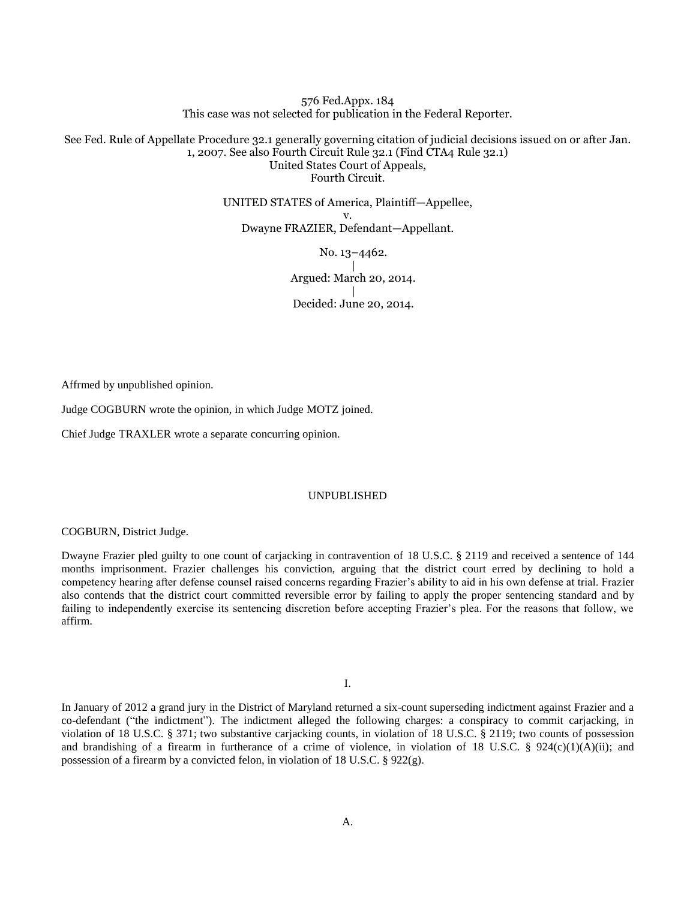576 Fed.Appx. 184 This case was not selected for publication in the Federal Reporter.

## See Fed. Rule of Appellate Procedure 32.1 generally governing citation of judicial decisions issued on or after Jan. 1, 2007. See also Fourth Circuit Rule 32.1 (Find CTA4 Rule 32.1) United States Court of Appeals, Fourth Circuit.

UNITED STATES of America, Plaintiff—Appellee, v. Dwayne FRAZIER, Defendant—Appellant.

> No. 13–4462. | Argued: March 20, 2014. | Decided: June 20, 2014.

Affrmed by unpublished opinion.

Judge COGBURN wrote the opinion, in which Judge MOTZ joined.

Chief Judge TRAXLER wrote a separate concurring opinion.

## UNPUBLISHED

COGBURN, District Judge.

Dwayne Frazier pled guilty to one count of carjacking in contravention of 18 U.S.C. § 2119 and received a sentence of 144 months imprisonment. Frazier challenges his conviction, arguing that the district court erred by declining to hold a competency hearing after defense counsel raised concerns regarding Frazier's ability to aid in his own defense at trial. Frazier also contends that the district court committed reversible error by failing to apply the proper sentencing standard and by failing to independently exercise its sentencing discretion before accepting Frazier's plea. For the reasons that follow, we affirm.

I.

In January of 2012 a grand jury in the District of Maryland returned a six-count superseding indictment against Frazier and a co-defendant ("the indictment"). The indictment alleged the following charges: a conspiracy to commit carjacking, in violation of 18 U.S.C. § 371; two substantive carjacking counts, in violation of 18 U.S.C. § 2119; two counts of possession and brandishing of a firearm in furtherance of a crime of violence, in violation of 18 U.S.C. § 924(c)(1)(A)(ii); and possession of a firearm by a convicted felon, in violation of 18 U.S.C. § 922(g).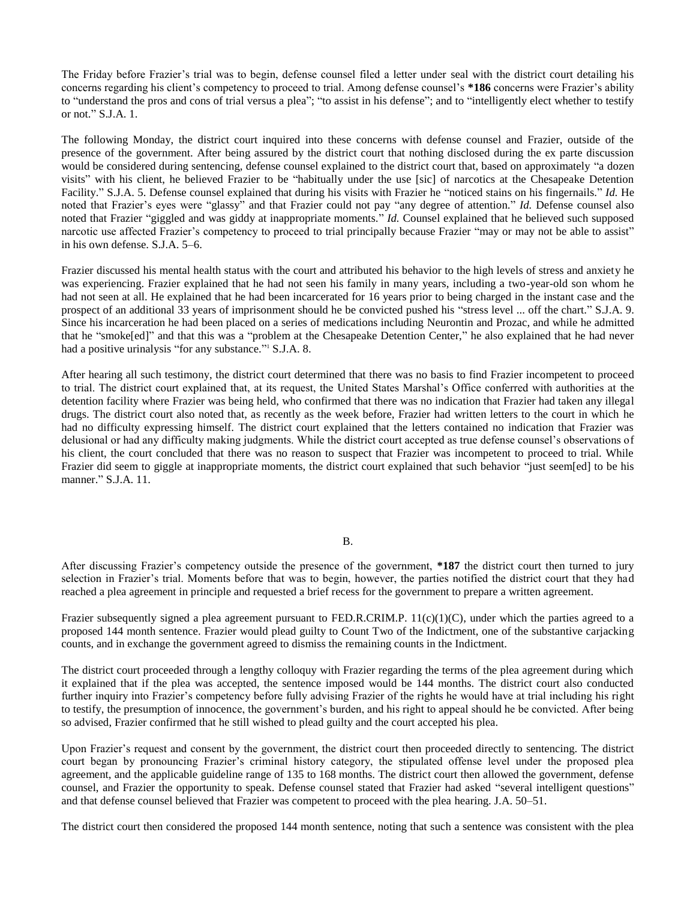The Friday before Frazier's trial was to begin, defense counsel filed a letter under seal with the district court detailing his concerns regarding his client's competency to proceed to trial. Among defense counsel's **\*186** concerns were Frazier's ability to "understand the pros and cons of trial versus a plea"; "to assist in his defense"; and to "intelligently elect whether to testify or not." S.J.A. 1.

The following Monday, the district court inquired into these concerns with defense counsel and Frazier, outside of the presence of the government. After being assured by the district court that nothing disclosed during the ex parte discussion would be considered during sentencing, defense counsel explained to the district court that, based on approximately "a dozen visits" with his client, he believed Frazier to be "habitually under the use [sic] of narcotics at the Chesapeake Detention Facility." S.J.A. 5. Defense counsel explained that during his visits with Frazier he "noticed stains on his fingernails." *Id.* He noted that Frazier's eyes were "glassy" and that Frazier could not pay "any degree of attention." *Id.* Defense counsel also noted that Frazier "giggled and was giddy at inappropriate moments." *Id.* Counsel explained that he believed such supposed narcotic use affected Frazier's competency to proceed to trial principally because Frazier "may or may not be able to assist" in his own defense. S.J.A. 5–6.

Frazier discussed his mental health status with the court and attributed his behavior to the high levels of stress and anxiety he was experiencing. Frazier explained that he had not seen his family in many years, including a two-year-old son whom he had not seen at all. He explained that he had been incarcerated for 16 years prior to being charged in the instant case and the prospect of an additional 33 years of imprisonment should he be convicted pushed his "stress level ... off the chart." S.J.A. 9. Since his incarceration he had been placed on a series of medications including Neurontin and Prozac, and while he admitted that he "smoke[ed]" and that this was a "problem at the Chesapeake Detention Center," he also explained that he had never had a positive urinalysis "for any substance."<sup>1</sup> S.J.A. 8.

After hearing all such testimony, the district court determined that there was no basis to find Frazier incompetent to proceed to trial. The district court explained that, at its request, the United States Marshal's Office conferred with authorities at the detention facility where Frazier was being held, who confirmed that there was no indication that Frazier had taken any illegal drugs. The district court also noted that, as recently as the week before, Frazier had written letters to the court in which he had no difficulty expressing himself. The district court explained that the letters contained no indication that Frazier was delusional or had any difficulty making judgments. While the district court accepted as true defense counsel's observations of his client, the court concluded that there was no reason to suspect that Frazier was incompetent to proceed to trial. While Frazier did seem to giggle at inappropriate moments, the district court explained that such behavior "just seem[ed] to be his manner." S.J.A. 11.

After discussing Frazier's competency outside the presence of the government, **\*187** the district court then turned to jury selection in Frazier's trial. Moments before that was to begin, however, the parties notified the district court that they had reached a plea agreement in principle and requested a brief recess for the government to prepare a written agreement.

Frazier subsequently signed a plea agreement pursuant to FED.R.CRIM.P.  $11(c)(1)(C)$ , under which the parties agreed to a proposed 144 month sentence. Frazier would plead guilty to Count Two of the Indictment, one of the substantive carjacking counts, and in exchange the government agreed to dismiss the remaining counts in the Indictment.

The district court proceeded through a lengthy colloquy with Frazier regarding the terms of the plea agreement during which it explained that if the plea was accepted, the sentence imposed would be 144 months. The district court also conducted further inquiry into Frazier's competency before fully advising Frazier of the rights he would have at trial including his right to testify, the presumption of innocence, the government's burden, and his right to appeal should he be convicted. After being so advised, Frazier confirmed that he still wished to plead guilty and the court accepted his plea.

Upon Frazier's request and consent by the government, the district court then proceeded directly to sentencing. The district court began by pronouncing Frazier's criminal history category, the stipulated offense level under the proposed plea agreement, and the applicable guideline range of 135 to 168 months. The district court then allowed the government, defense counsel, and Frazier the opportunity to speak. Defense counsel stated that Frazier had asked "several intelligent questions" and that defense counsel believed that Frazier was competent to proceed with the plea hearing. J.A. 50–51.

The district court then considered the proposed 144 month sentence, noting that such a sentence was consistent with the plea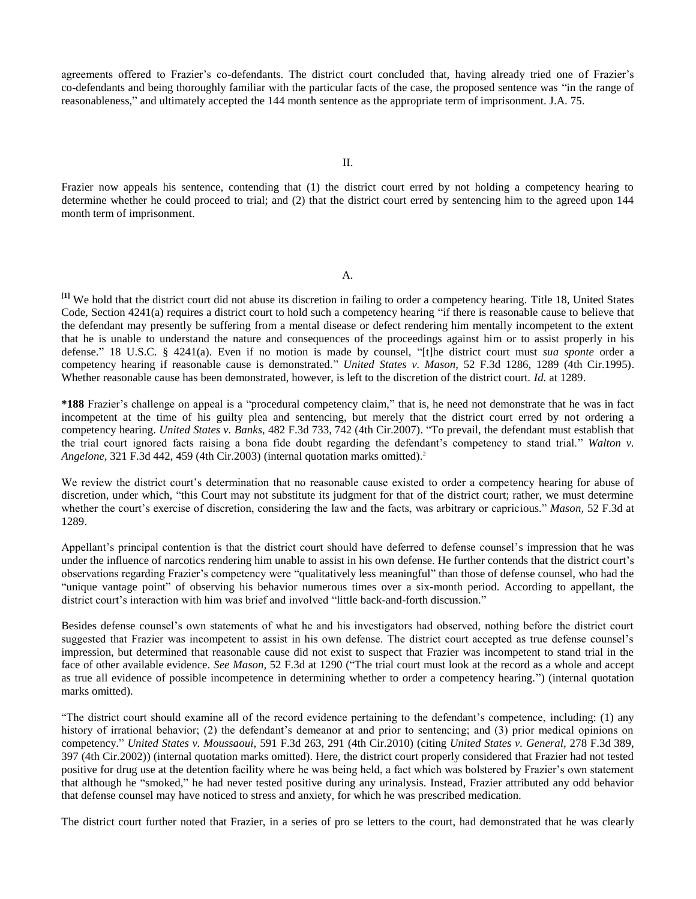agreements offered to Frazier's co-defendants. The district court concluded that, having already tried one of Frazier's co-defendants and being thoroughly familiar with the particular facts of the case, the proposed sentence was "in the range of reasonableness," and ultimately accepted the 144 month sentence as the appropriate term of imprisonment. J.A. 75.

II.

Frazier now appeals his sentence, contending that (1) the district court erred by not holding a competency hearing to determine whether he could proceed to trial; and (2) that the district court erred by sentencing him to the agreed upon 144 month term of imprisonment.

A.

**[1]** We hold that the district court did not abuse its discretion in failing to order a competency hearing. Title 18, United States Code, Section 4241(a) requires a district court to hold such a competency hearing "if there is reasonable cause to believe that the defendant may presently be suffering from a mental disease or defect rendering him mentally incompetent to the extent that he is unable to understand the nature and consequences of the proceedings against him or to assist properly in his defense." 18 U.S.C. § 4241(a). Even if no motion is made by counsel, "[t]he district court must *sua sponte* order a competency hearing if reasonable cause is demonstrated." *United States v. Mason,* 52 F.3d 1286, 1289 (4th Cir.1995). Whether reasonable cause has been demonstrated, however, is left to the discretion of the district court. *Id.* at 1289.

**\*188** Frazier's challenge on appeal is a "procedural competency claim," that is, he need not demonstrate that he was in fact incompetent at the time of his guilty plea and sentencing, but merely that the district court erred by not ordering a competency hearing. *United States v. Banks,* 482 F.3d 733, 742 (4th Cir.2007). "To prevail, the defendant must establish that the trial court ignored facts raising a bona fide doubt regarding the defendant's competency to stand trial." *Walton v. Angelone,* 321 F.3d 442, 459 (4th Cir.2003) (internal quotation marks omitted).<sup>2</sup>

We review the district court's determination that no reasonable cause existed to order a competency hearing for abuse of discretion, under which, "this Court may not substitute its judgment for that of the district court; rather, we must determine whether the court's exercise of discretion, considering the law and the facts, was arbitrary or capricious." *Mason,* 52 F.3d at 1289.

Appellant's principal contention is that the district court should have deferred to defense counsel's impression that he was under the influence of narcotics rendering him unable to assist in his own defense. He further contends that the district court's observations regarding Frazier's competency were "qualitatively less meaningful" than those of defense counsel, who had the "unique vantage point" of observing his behavior numerous times over a six-month period. According to appellant, the district court's interaction with him was brief and involved "little back-and-forth discussion."

Besides defense counsel's own statements of what he and his investigators had observed, nothing before the district court suggested that Frazier was incompetent to assist in his own defense. The district court accepted as true defense counsel's impression, but determined that reasonable cause did not exist to suspect that Frazier was incompetent to stand trial in the face of other available evidence. *See Mason,* 52 F.3d at 1290 ("The trial court must look at the record as a whole and accept as true all evidence of possible incompetence in determining whether to order a competency hearing.") (internal quotation marks omitted).

"The district court should examine all of the record evidence pertaining to the defendant's competence, including: (1) any history of irrational behavior; (2) the defendant's demeanor at and prior to sentencing; and (3) prior medical opinions on competency." *United States v. Moussaoui,* 591 F.3d 263, 291 (4th Cir.2010) (citing *United States v. General,* 278 F.3d 389, 397 (4th Cir.2002)) (internal quotation marks omitted). Here, the district court properly considered that Frazier had not tested positive for drug use at the detention facility where he was being held, a fact which was bolstered by Frazier's own statement that although he "smoked," he had never tested positive during any urinalysis. Instead, Frazier attributed any odd behavior that defense counsel may have noticed to stress and anxiety, for which he was prescribed medication.

The district court further noted that Frazier, in a series of pro se letters to the court, had demonstrated that he was clearly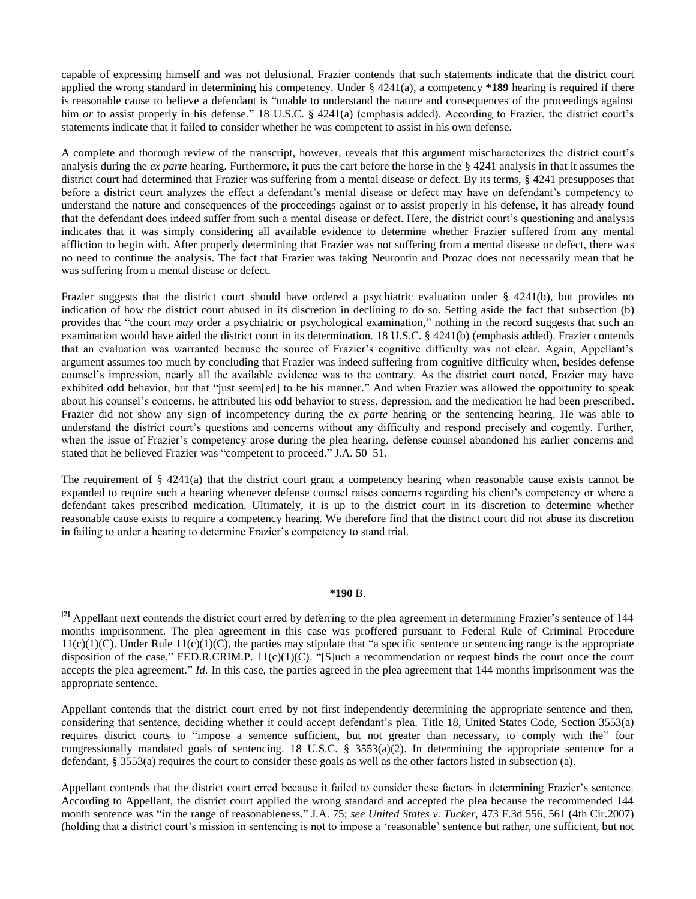capable of expressing himself and was not delusional. Frazier contends that such statements indicate that the district court applied the wrong standard in determining his competency. Under § 4241(a), a competency **\*189** hearing is required if there is reasonable cause to believe a defendant is "unable to understand the nature and consequences of the proceedings against him *or* to assist properly in his defense." 18 U.S.C. § 4241(a) (emphasis added). According to Frazier, the district court's statements indicate that it failed to consider whether he was competent to assist in his own defense.

A complete and thorough review of the transcript, however, reveals that this argument mischaracterizes the district court's analysis during the *ex parte* hearing. Furthermore, it puts the cart before the horse in the § 4241 analysis in that it assumes the district court had determined that Frazier was suffering from a mental disease or defect. By its terms, § 4241 presupposes that before a district court analyzes the effect a defendant's mental disease or defect may have on defendant's competency to understand the nature and consequences of the proceedings against or to assist properly in his defense, it has already found that the defendant does indeed suffer from such a mental disease or defect. Here, the district court's questioning and analysis indicates that it was simply considering all available evidence to determine whether Frazier suffered from any mental affliction to begin with. After properly determining that Frazier was not suffering from a mental disease or defect, there was no need to continue the analysis. The fact that Frazier was taking Neurontin and Prozac does not necessarily mean that he was suffering from a mental disease or defect.

Frazier suggests that the district court should have ordered a psychiatric evaluation under § 4241(b), but provides no indication of how the district court abused in its discretion in declining to do so. Setting aside the fact that subsection (b) provides that "the court *may* order a psychiatric or psychological examination," nothing in the record suggests that such an examination would have aided the district court in its determination. 18 U.S.C. § 4241(b) (emphasis added). Frazier contends that an evaluation was warranted because the source of Frazier's cognitive difficulty was not clear. Again, Appellant's argument assumes too much by concluding that Frazier was indeed suffering from cognitive difficulty when, besides defense counsel's impression, nearly all the available evidence was to the contrary. As the district court noted, Frazier may have exhibited odd behavior, but that "just seem[ed] to be his manner." And when Frazier was allowed the opportunity to speak about his counsel's concerns, he attributed his odd behavior to stress, depression, and the medication he had been prescribed. Frazier did not show any sign of incompetency during the *ex parte* hearing or the sentencing hearing. He was able to understand the district court's questions and concerns without any difficulty and respond precisely and cogently. Further, when the issue of Frazier's competency arose during the plea hearing, defense counsel abandoned his earlier concerns and stated that he believed Frazier was "competent to proceed." J.A. 50–51.

The requirement of  $\S$  4241(a) that the district court grant a competency hearing when reasonable cause exists cannot be expanded to require such a hearing whenever defense counsel raises concerns regarding his client's competency or where a defendant takes prescribed medication. Ultimately, it is up to the district court in its discretion to determine whether reasonable cause exists to require a competency hearing. We therefore find that the district court did not abuse its discretion in failing to order a hearing to determine Frazier's competency to stand trial.

## **\*190** B.

<sup>[2]</sup> Appellant next contends the district court erred by deferring to the plea agreement in determining Frazier's sentence of 144 months imprisonment. The plea agreement in this case was proffered pursuant to Federal Rule of Criminal Procedure  $11(c)(1)(C)$ . Under Rule  $11(c)(1)(C)$ , the parties may stipulate that "a specific sentence or sentencing range is the appropriate disposition of the case." FED.R.CRIM.P.  $11(c)(1)(C)$ . "[S]uch a recommendation or request binds the court once the court accepts the plea agreement." *Id.* In this case, the parties agreed in the plea agreement that 144 months imprisonment was the appropriate sentence.

Appellant contends that the district court erred by not first independently determining the appropriate sentence and then, considering that sentence, deciding whether it could accept defendant's plea. Title 18, United States Code, Section 3553(a) requires district courts to "impose a sentence sufficient, but not greater than necessary, to comply with the" four congressionally mandated goals of sentencing. 18 U.S.C. § 3553(a)(2). In determining the appropriate sentence for a defendant, § 3553(a) requires the court to consider these goals as well as the other factors listed in subsection (a).

Appellant contends that the district court erred because it failed to consider these factors in determining Frazier's sentence. According to Appellant, the district court applied the wrong standard and accepted the plea because the recommended 144 month sentence was "in the range of reasonableness." J.A. 75; *see United States v. Tucker,* 473 F.3d 556, 561 (4th Cir.2007) (holding that a district court's mission in sentencing is not to impose a 'reasonable' sentence but rather, one sufficient, but not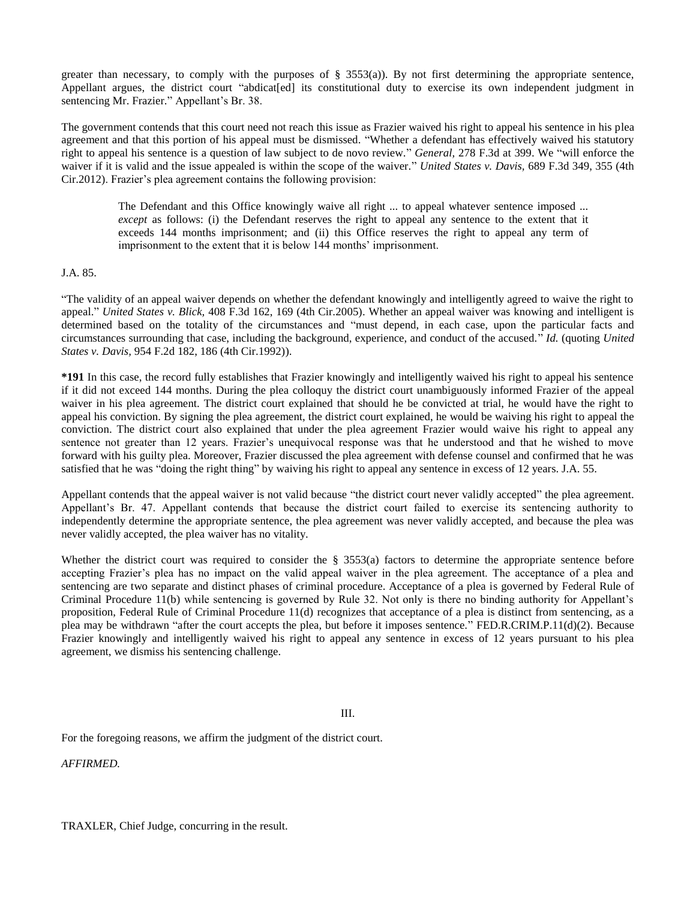greater than necessary, to comply with the purposes of  $\S$  3553(a)). By not first determining the appropriate sentence, Appellant argues, the district court "abdicat[ed] its constitutional duty to exercise its own independent judgment in sentencing Mr. Frazier." Appellant's Br. 38.

The government contends that this court need not reach this issue as Frazier waived his right to appeal his sentence in his plea agreement and that this portion of his appeal must be dismissed. "Whether a defendant has effectively waived his statutory right to appeal his sentence is a question of law subject to de novo review." *General,* 278 F.3d at 399. We "will enforce the waiver if it is valid and the issue appealed is within the scope of the waiver." *United States v. Davis,* 689 F.3d 349, 355 (4th Cir.2012). Frazier's plea agreement contains the following provision:

The Defendant and this Office knowingly waive all right ... to appeal whatever sentence imposed ... *except* as follows: (i) the Defendant reserves the right to appeal any sentence to the extent that it exceeds 144 months imprisonment; and (ii) this Office reserves the right to appeal any term of imprisonment to the extent that it is below 144 months' imprisonment.

J.A. 85.

"The validity of an appeal waiver depends on whether the defendant knowingly and intelligently agreed to waive the right to appeal." *United States v. Blick,* 408 F.3d 162, 169 (4th Cir.2005). Whether an appeal waiver was knowing and intelligent is determined based on the totality of the circumstances and "must depend, in each case, upon the particular facts and circumstances surrounding that case, including the background, experience, and conduct of the accused." *Id.* (quoting *United States v. Davis,* 954 F.2d 182, 186 (4th Cir.1992)).

**\*191** In this case, the record fully establishes that Frazier knowingly and intelligently waived his right to appeal his sentence if it did not exceed 144 months. During the plea colloquy the district court unambiguously informed Frazier of the appeal waiver in his plea agreement. The district court explained that should he be convicted at trial, he would have the right to appeal his conviction. By signing the plea agreement, the district court explained, he would be waiving his right to appeal the conviction. The district court also explained that under the plea agreement Frazier would waive his right to appeal any sentence not greater than 12 years. Frazier's unequivocal response was that he understood and that he wished to move forward with his guilty plea. Moreover, Frazier discussed the plea agreement with defense counsel and confirmed that he was satisfied that he was "doing the right thing" by waiving his right to appeal any sentence in excess of 12 years. J.A. 55.

Appellant contends that the appeal waiver is not valid because "the district court never validly accepted" the plea agreement. Appellant's Br. 47. Appellant contends that because the district court failed to exercise its sentencing authority to independently determine the appropriate sentence, the plea agreement was never validly accepted, and because the plea was never validly accepted, the plea waiver has no vitality.

Whether the district court was required to consider the  $\S$  3553(a) factors to determine the appropriate sentence before accepting Frazier's plea has no impact on the valid appeal waiver in the plea agreement. The acceptance of a plea and sentencing are two separate and distinct phases of criminal procedure. Acceptance of a plea is governed by Federal Rule of Criminal Procedure 11(b) while sentencing is governed by Rule 32. Not only is there no binding authority for Appellant's proposition, [Federal Rule of Criminal Procedure 11\(d\)](http://www.westlaw.com/Link/Document/FullText?findType=L&pubNum=1000598&cite=USFRCRPR11&originatingDoc=I2d04f17bf8c911e3a795ac035416da91&refType=RB&originationContext=document&vr=3.0&rs=cblt1.0&transitionType=DocumentItem&contextData=(sc.Search)#co_pp_5ba1000067d06) recognizes that acceptance of a plea is distinct from sentencing, as a plea may be withdrawn "after the court accepts the plea, but before it imposes sentence." FED.R.CRIM.P.11(d)(2). Because Frazier knowingly and intelligently waived his right to appeal any sentence in excess of 12 years pursuant to his plea agreement, we dismiss his sentencing challenge.

III.

For the foregoing reasons, we affirm the judgment of the district court.

*AFFIRMED.*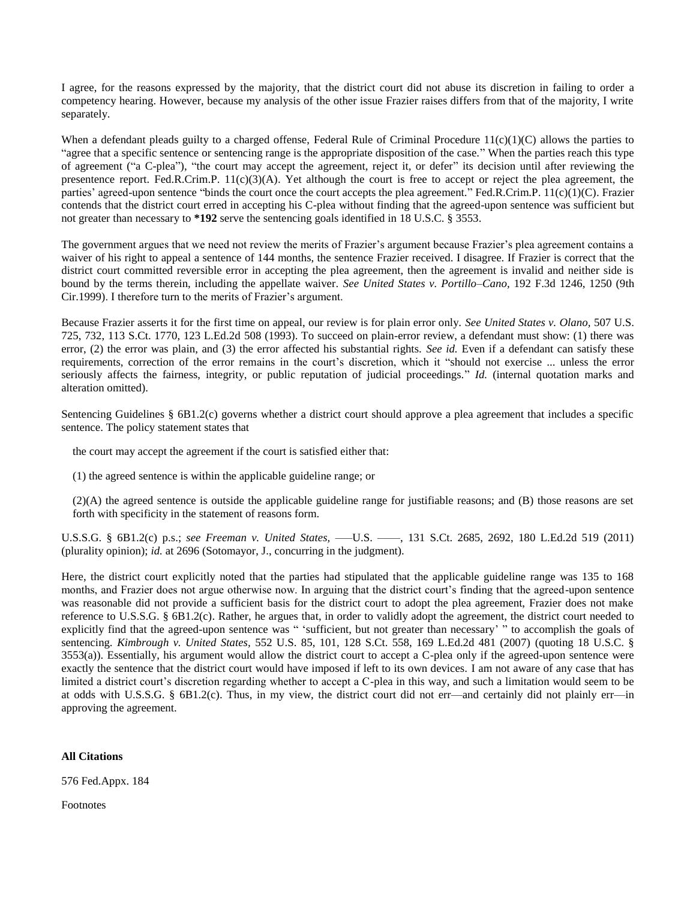I agree, for the reasons expressed by the majority, that the district court did not abuse its discretion in failing to order a competency hearing. However, because my analysis of the other issue Frazier raises differs from that of the majority, I write separately.

When a defendant pleads guilty to a charged offense, Federal Rule of Criminal Procedure  $11(c)(1)(C)$  allows the parties to "agree that a specific sentence or sentencing range is the appropriate disposition of the case." When the parties reach this type of agreement ("a C-plea"), "the court may accept the agreement, reject it, or defer" its decision until after reviewing the presentence report. Fed.R.Crim.P.  $11(c)(3)(A)$ . Yet although the court is free to accept or reject the plea agreement, the parties' agreed-upon sentence "binds the court once the court accepts the plea agreement." Fed.R.Crim.P. 11(c)(1)(C). Frazier contends that the district court erred in accepting his C-plea without finding that the agreed-upon sentence was sufficient but not greater than necessary to **\*192** serve the sentencing goals identified in 18 U.S.C. § 3553.

The government argues that we need not review the merits of Frazier's argument because Frazier's plea agreement contains a waiver of his right to appeal a sentence of 144 months, the sentence Frazier received. I disagree. If Frazier is correct that the district court committed reversible error in accepting the plea agreement, then the agreement is invalid and neither side is bound by the terms therein, including the appellate waiver. *See United States v. Portillo–Cano,* 192 F.3d 1246, 1250 (9th Cir.1999). I therefore turn to the merits of Frazier's argument.

Because Frazier asserts it for the first time on appeal, our review is for plain error only. *See United States v. Olano,* 507 U.S. 725, 732, 113 S.Ct. 1770, 123 L.Ed.2d 508 (1993). To succeed on plain-error review, a defendant must show: (1) there was error, (2) the error was plain, and (3) the error affected his substantial rights. *See id.* Even if a defendant can satisfy these requirements, correction of the error remains in the court's discretion, which it "should not exercise ... unless the error seriously affects the fairness, integrity, or public reputation of judicial proceedings." *Id.* (internal quotation marks and alteration omitted).

Sentencing Guidelines § 6B1.2(c) governs whether a district court should approve a plea agreement that includes a specific sentence. The policy statement states that

the court may accept the agreement if the court is satisfied either that:

(1) the agreed sentence is within the applicable guideline range; or

 $(2)$ (A) the agreed sentence is outside the applicable guideline range for justifiable reasons; and (B) those reasons are set forth with specificity in the statement of reasons form.

U.S.S.G. § 6B1.2(c) p.s.; *see Freeman v. United States,* –––U.S. ––––, 131 S.Ct. 2685, 2692, 180 L.Ed.2d 519 (2011) (plurality opinion); *id.* at 2696 (Sotomayor, J., concurring in the judgment).

Here, the district court explicitly noted that the parties had stipulated that the applicable guideline range was 135 to 168 months, and Frazier does not argue otherwise now. In arguing that the district court's finding that the agreed-upon sentence was reasonable did not provide a sufficient basis for the district court to adopt the plea agreement, Frazier does not make reference to U.S.S.G. § 6B1.2(c). Rather, he argues that, in order to validly adopt the agreement, the district court needed to explicitly find that the agreed-upon sentence was " 'sufficient, but not greater than necessary' " to accomplish the goals of sentencing. *Kimbrough v. United States,* 552 U.S. 85, 101, 128 S.Ct. 558, 169 L.Ed.2d 481 (2007) (quoting 18 U.S.C. § 3553(a)). Essentially, his argument would allow the district court to accept a C-plea only if the agreed-upon sentence were exactly the sentence that the district court would have imposed if left to its own devices. I am not aware of any case that has limited a district court's discretion regarding whether to accept a C-plea in this way, and such a limitation would seem to be at odds with U.S.S.G. § 6B1.2(c). Thus, in my view, the district court did not err—and certainly did not plainly err—in approving the agreement.

## **All Citations**

576 Fed.Appx. 184

Footnotes